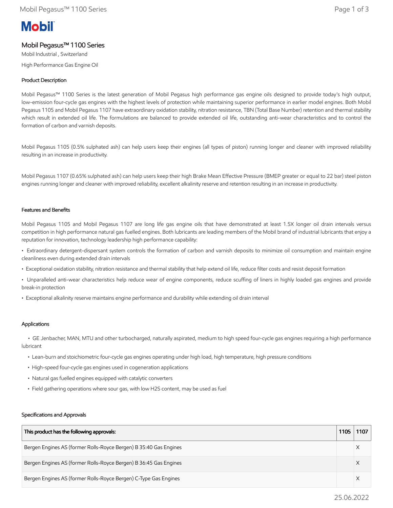# **Mobil**

# Mobil Pegasus™ 1100 Series

Mobil Industrial , Switzerland High Performance Gas Engine Oil

## Product Description

Mobil Pegasus™ 1100 Series is the latest generation of Mobil Pegasus high performance gas engine oils designed to provide today's high output, low-emission four-cycle gas engines with the highest levels of protection while maintaining superior performance in earlier model engines. Both Mobil Pegasus 1105 and Mobil Pegasus 1107 have extraordinary oxidation stability, nitration resistance, TBN (Total Base Number) retention and thermal stability which result in extended oil life. The formulations are balanced to provide extended oil life, outstanding anti-wear characteristics and to control the formation of carbon and varnish deposits.

Mobil Pegasus 1105 (0.5% sulphated ash) can help users keep their engines (all types of piston) running longer and cleaner with improved reliability resulting in an increase in productivity.

Mobil Pegasus 1107 (0.65% sulphated ash) can help users keep their high Brake Mean Effective Pressure (BMEP greater or equal to 22 bar) steel piston engines running longer and cleaner with improved reliability, excellent alkalinity reserve and retention resulting in an increase in productivity.

#### Features and Benefits

Mobil Pegasus 1105 and Mobil Pegasus 1107 are long life gas engine oils that have demonstrated at least 1.5X longer oil drain intervals versus competition in high performance natural gas fuelled engines. Both lubricants are leading members of the Mobil brand of industrial lubricants that enjoy a reputation for innovation, technology leadership high performance capability:

• Extraordinary detergent-dispersant system controls the formation of carbon and varnish deposits to minimize oil consumption and maintain engine cleanliness even during extended drain intervals

- Exceptional oxidation stability, nitration resistance and thermal stability that help extend oil life, reduce filter costs and resist deposit formation
- Unparalleled anti-wear characteristics help reduce wear of engine components, reduce scuffing of liners in highly loaded gas engines and provide break-in protection
- Exceptional alkalinity reserve maintains engine performance and durability while extending oil drain interval

### Applications

 • GE Jenbacher, MAN, MTU and other turbocharged, naturally aspirated, medium to high speed four-cycle gas engines requiring a high performance lubricant

- Lean-burn and stoichiometric four-cycle gas engines operating under high load, high temperature, high pressure conditions
- High-speed four-cycle gas engines used in cogeneration applications
- Natural gas fuelled engines equipped with catalytic converters
- Field gathering operations where sour gas, with low H2S content, may be used as fuel

#### Specifications and Approvals

| This product has the following approvals:                         | 1105 | 1107 |
|-------------------------------------------------------------------|------|------|
| Bergen Engines AS (former Rolls-Royce Bergen) B 35:40 Gas Engines |      |      |
| Bergen Engines AS (former Rolls-Royce Bergen) B 36:45 Gas Engines |      |      |
| Bergen Engines AS (former Rolls-Royce Bergen) C-Type Gas Engines  |      |      |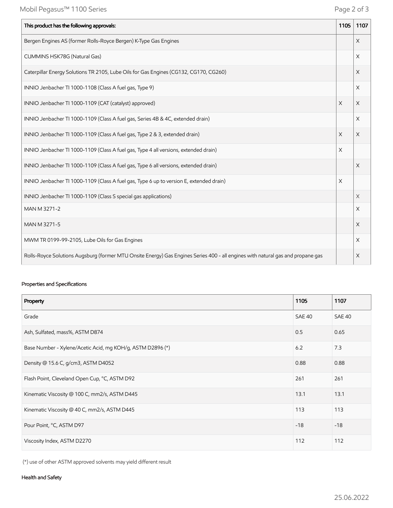| This product has the following approvals:                                                                                       | 1105                  | 1107     |
|---------------------------------------------------------------------------------------------------------------------------------|-----------------------|----------|
| Bergen Engines AS (former Rolls-Royce Bergen) K-Type Gas Engines                                                                |                       | X        |
| CUMMINS HSK78G (Natural Gas)                                                                                                    |                       | X        |
| Caterpillar Energy Solutions TR 2105, Lube Oils for Gas Engines (CG132, CG170, CG260)                                           |                       | X        |
| INNIO Jenbacher TI 1000-1108 (Class A fuel gas, Type 9)                                                                         |                       | X        |
| INNIO Jenbacher TI 1000-1109 (CAT (catalyst) approved)                                                                          | $\times$              | X        |
| INNIO Jenbacher TI 1000-1109 (Class A fuel gas, Series 4B & 4C, extended drain)                                                 |                       | X        |
| INNIO Jenbacher TI 1000-1109 (Class A fuel gas, Type 2 & 3, extended drain)                                                     | X                     | X        |
| INNIO Jenbacher TI 1000-1109 (Class A fuel gas, Type 4 all versions, extended drain)                                            | X                     |          |
| INNIO Jenbacher TI 1000-1109 (Class A fuel gas, Type 6 all versions, extended drain)                                            |                       | $\times$ |
| INNIO Jenbacher TI 1000-1109 (Class A fuel gas, Type 6 up to version E, extended drain)                                         | $\boldsymbol{\times}$ |          |
| INNIO Jenbacher TI 1000-1109 (Class S special gas applications)                                                                 |                       | X        |
| MAN M 3271-2                                                                                                                    |                       | X        |
| MAN M 3271-5                                                                                                                    |                       | X        |
| MWM TR 0199-99-2105, Lube Oils for Gas Engines                                                                                  |                       | X        |
| Rolls-Royce Solutions Augsburg (former MTU Onsite Energy) Gas Engines Series 400 - all engines with natural gas and propane gas |                       | X        |

## Properties and Specifications

| Property                                                   | 1105   | 1107          |
|------------------------------------------------------------|--------|---------------|
| Grade                                                      | SAE 40 | <b>SAE 40</b> |
| Ash, Sulfated, mass%, ASTM D874                            | 0.5    | 0.65          |
| Base Number - Xylene/Acetic Acid, mg KOH/g, ASTM D2896 (*) | 6.2    | 7.3           |
| Density @ 15.6 C, g/cm3, ASTM D4052                        | 0.88   | 0.88          |
| Flash Point, Cleveland Open Cup, °C, ASTM D92              | 261    | 261           |
| Kinematic Viscosity @ 100 C, mm2/s, ASTM D445              | 13.1   | 13.1          |
| Kinematic Viscosity @ 40 C, mm2/s, ASTM D445               | 113    | 113           |
| Pour Point, °C, ASTM D97                                   | $-18$  | $-18$         |
| Viscosity Index, ASTM D2270                                | 112    | 112           |

(\*) use of other ASTM approved solvents may yield different result